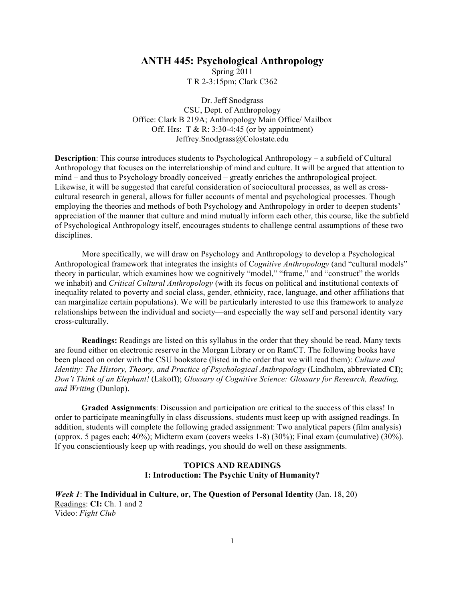## **ANTH 445: Psychological Anthropology**

Spring 2011 T R 2-3:15pm; Clark C362

Dr. Jeff Snodgrass CSU, Dept. of Anthropology Office: Clark B 219A; Anthropology Main Office/ Mailbox Off. Hrs:  $T & R: 3:30-4:45$  (or by appointment) Jeffrey.Snodgrass@Colostate.edu

**Description**: This course introduces students to Psychological Anthropology – a subfield of Cultural Anthropology that focuses on the interrelationship of mind and culture. It will be argued that attention to mind – and thus to Psychology broadly conceived – greatly enriches the anthropological project. Likewise, it will be suggested that careful consideration of sociocultural processes, as well as crosscultural research in general, allows for fuller accounts of mental and psychological processes. Though employing the theories and methods of both Psychology and Anthropology in order to deepen students' appreciation of the manner that culture and mind mutually inform each other, this course, like the subfield of Psychological Anthropology itself, encourages students to challenge central assumptions of these two disciplines.

More specifically, we will draw on Psychology and Anthropology to develop a Psychological Anthropological framework that integrates the insights of C*ognitive Anthropology* (and "cultural models" theory in particular, which examines how we cognitively "model," "frame," and "construct" the worlds we inhabit) and *Critical Cultural Anthropology* (with its focus on political and institutional contexts of inequality related to poverty and social class, gender, ethnicity, race, language, and other affiliations that can marginalize certain populations). We will be particularly interested to use this framework to analyze relationships between the individual and society—and especially the way self and personal identity vary cross-culturally.

**Readings:** Readings are listed on this syllabus in the order that they should be read. Many texts are found either on electronic reserve in the Morgan Library or on RamCT. The following books have been placed on order with the CSU bookstore (listed in the order that we will read them): *Culture and Identity: The History, Theory, and Practice of Psychological Anthropology* (Lindholm, abbreviated **CI**); *Don't Think of an Elephant!* (Lakoff); *Glossary of Cognitive Science: Glossary for Research, Reading, and Writing* (Dunlop).

**Graded Assignments**: Discussion and participation are critical to the success of this class! In order to participate meaningfully in class discussions, students must keep up with assigned readings. In addition, students will complete the following graded assignment: Two analytical papers (film analysis) (approx. 5 pages each; 40%); Midterm exam (covers weeks 1-8) (30%); Final exam (cumulative) (30%). If you conscientiously keep up with readings, you should do well on these assignments.

## **TOPICS AND READINGS I: Introduction: The Psychic Unity of Humanity?**

*Week 1*: **The Individual in Culture, or, The Question of Personal Identity** (Jan. 18, 20) Readings: **CI:** Ch. 1 and 2 Video: *Fight Club*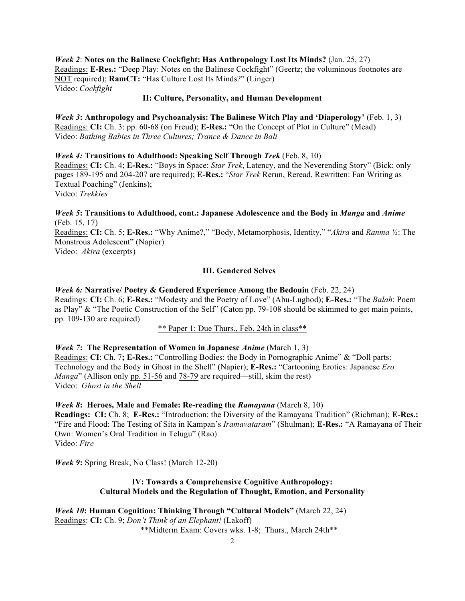*Week 2*: **Notes on the Balinese Cockfight: Has Anthropology Lost Its Minds?** (Jan. 25, 27) Readings: **E-Res.:** "Deep Play: Notes on the Balinese Cockfight" (Geertz; the voluminous footnotes are NOT required); **RamCT:** "Has Culture Lost Its Minds?" (Linger) Video: *Cockfight*

#### **II: Culture, Personality, and Human Development**

*Week 3***: Anthropology and Psychoanalysis: The Balinese Witch Play and 'Diaperology'** (Feb. 1, 3) Readings: **CI:** Ch. 3: pp. 60-68 (on Freud); **E-Res.:** "On the Concept of Plot in Culture" (Mead) Video: *Bathing Babies in Three Cultures; Trance & Dance in Bali*

*Week 4:* **Transitions to Adulthood: Speaking Self Through** *Trek* (Feb. 8, 10) Readings: **CI:** Ch. 4; **E-Res.:** "Boys in Space: *Star Trek*, Latency, and the Neverending Story" (Bick; only pages 189-195 and 204-207 are required); **E-Res.:** "*Star Trek* Rerun, Reread, Rewritten: Fan Writing as Textual Poaching" (Jenkins); Video: *Trekkies*

*Week 5***: Transitions to Adulthood, cont.: Japanese Adolescence and the Body in** *Manga* **and** *Anime* (Feb. 15, 17)

Readings: **CI:** Ch. 5; **E-Res.:** "Why Anime?," "Body, Metamorphosis, Identity," "*Akira* and *Ranma ½*: The Monstrous Adolescent" (Napier)

Video: *Akira* (excerpts)

#### **III. Gendered Selves**

*Week 6:* **Narrative/ Poetry & Gendered Experience Among the Bedouin** (Feb. 22, 24) Readings: **CI:** Ch. 6; **E-Res.:** "Modesty and the Poetry of Love" (Abu-Lughod); **E-Res.:** "The *Balah*: Poem as Play" & "The Poetic Construction of the Self" (Caton pp. 79-108 should be skimmed to get main points, pp. 109-130 are required)

\*\* Paper 1: Due Thurs., Feb. 24th in class\*\*

*Week 7***: The Representation of Women in Japanese** *Anime* (March 1, 3) Readings: **CI**: Ch. 7**; E-Res.:** "Controlling Bodies: the Body in Pornographic Anime" & "Doll parts: Technology and the Body in Ghost in the Shell" (Napier); **E-Res.:** "Cartooning Erotics: Japanese *Ero Manga*" (Allison only pp. 51-56 and 78-79 are required—still, skim the rest) Video: *Ghost in the Shell*

#### *Week 8***: Heroes, Male and Female: Re-reading the** *Ramayana* (March 8, 10)

**Readings: CI:** Ch. 8; **E-Res.:** "Introduction: the Diversity of the Ramayana Tradition" (Richman); **E-Res.:** "Fire and Flood: The Testing of Sita in Kampan's *Iramavataram*" (Shulman); **E-Res.:** "A Ramayana of Their Own: Women's Oral Tradition in Telugu" (Rao) Video: *Fire*

*Week 9***:** Spring Break, No Class! (March 12-20)

# **IV: Towards a Comprehensive Cognitive Anthropology: Cultural Models and the Regulation of Thought, Emotion, and Personality**

*Week 10***: Human Cognition: Thinking Through "Cultural Models"** (March 22, 24) Readings: **CI:** Ch. 9; *Don't Think of an Elephant!* (Lakoff) \*\*Midterm Exam: Covers wks. 1-8; Thurs., March 24th\*\*